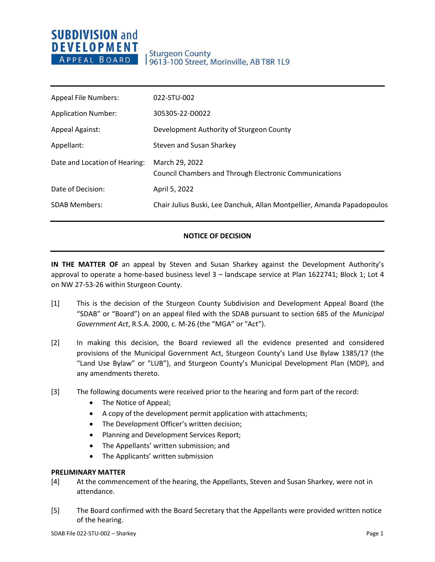# **SUBDIVISION and DEVELOPMENT** APPEAL BOARD

| <b>Appeal File Numbers:</b>   | 022-STU-002                                                                     |
|-------------------------------|---------------------------------------------------------------------------------|
| <b>Application Number:</b>    | 305305-22-D0022                                                                 |
| <b>Appeal Against:</b>        | Development Authority of Sturgeon County                                        |
| Appellant:                    | Steven and Susan Sharkey                                                        |
| Date and Location of Hearing: | March 29, 2022<br><b>Council Chambers and Through Electronic Communications</b> |
| Date of Decision:             | April 5, 2022                                                                   |
| <b>SDAB Members:</b>          | Chair Julius Buski, Lee Danchuk, Allan Montpellier, Amanda Papadopoulos         |
|                               |                                                                                 |

## **NOTICE OF DECISION**

**IN THE MATTER OF** an appeal by Steven and Susan Sharkey against the Development Authority's approval to operate a home-based business level 3 – landscape service at Plan 1622741; Block 1; Lot 4 on NW 27-53-26 within Sturgeon County.

- [1] This is the decision of the Sturgeon County Subdivision and Development Appeal Board (the "SDAB" or "Board") on an appeal filed with the SDAB pursuant to section 685 of the *Municipal Government Act*, R.S.A. 2000, c. M-26 (the "MGA" or "Act").
- [2] In making this decision, the Board reviewed all the evidence presented and considered provisions of the Municipal Government Act, Sturgeon County's Land Use Bylaw 1385/17 (the "Land Use Bylaw" or "LUB"), and Sturgeon County's Municipal Development Plan (MDP), and any amendments thereto.
- [3] The following documents were received prior to the hearing and form part of the record:
	- The Notice of Appeal;
	- A copy of the development permit application with attachments;
	- The Development Officer's written decision;
	- Planning and Development Services Report;
	- The Appellants' written submission; and
	- The Applicants' written submission

## **PRELIMINARY MATTER**

- [4] At the commencement of the hearing, the Appellants, Steven and Susan Sharkey, were not in attendance.
- [5] The Board confirmed with the Board Secretary that the Appellants were provided written notice of the hearing.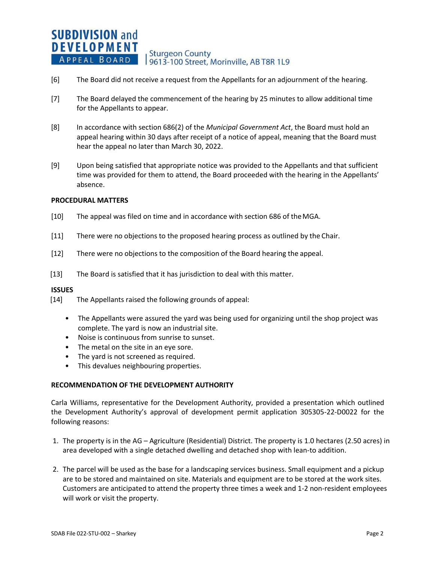#### **SUBDIVISION and DEVELOPMENT Sturgeon County** APPEAL BOARD 9613-100 Street, Morinville, AB T8R 1L9

- [6] The Board did not receive a request from the Appellants for an adjournment of the hearing.
- [7] The Board delayed the commencement of the hearing by 25 minutes to allow additional time for the Appellants to appear.
- [8] In accordance with section 686(2) of the *Municipal Government Act*, the Board must hold an appeal hearing within 30 days after receipt of a notice of appeal, meaning that the Board must hear the appeal no later than March 30, 2022.
- [9] Upon being satisfied that appropriate notice was provided to the Appellants and that sufficient time was provided for them to attend, the Board proceeded with the hearing in the Appellants' absence.

#### **PROCEDURAL MATTERS**

- [10] The appeal was filed on time and in accordance with section 686 of theMGA.
- [11] There were no objections to the proposed hearing process as outlined by the Chair.
- [12] There were no objections to the composition of the Board hearing the appeal.
- [13] The Board is satisfied that it has jurisdiction to deal with this matter.

#### **ISSUES**

- [14] The Appellants raised the following grounds of appeal:
	- The Appellants were assured the yard was being used for organizing until the shop project was complete. The yard is now an industrial site.
	- Noise is continuous from sunrise to sunset.
	- The metal on the site in an eye sore.
	- The yard is not screened as required.
	- This devalues neighbouring properties.

#### **RECOMMENDATION OF THE DEVELOPMENT AUTHORITY**

Carla Williams, representative for the Development Authority, provided a presentation which outlined the Development Authority's approval of development permit application 305305-22-D0022 for the following reasons:

- 1. The property is in the AG Agriculture (Residential) District. The property is 1.0 hectares (2.50 acres) in area developed with a single detached dwelling and detached shop with lean-to addition.
- 2. The parcel will be used as the base for a landscaping services business. Small equipment and a pickup are to be stored and maintained on site. Materials and equipment are to be stored at the work sites. Customers are anticipated to attend the property three times a week and 1-2 non-resident employees will work or visit the property.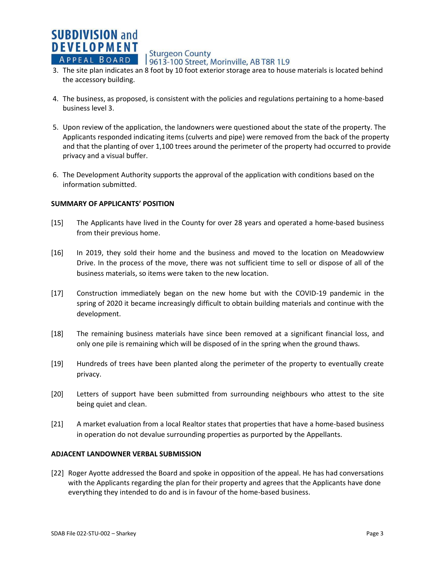**Sturgeon County** 

- **EXTERT A P PEAL BOARD 19613-100 Street, Morinville, AB T8R 1L9**<br>3. The site plan indicates an 8 foot by 10 foot exterior storage area to house materials is located behind the accessory building.
- 4. The business, as proposed, is consistent with the policies and regulations pertaining to a home-based business level 3.
- 5. Upon review of the application, the landowners were questioned about the state of the property. The Applicants responded indicating items (culverts and pipe) were removed from the back of the property and that the planting of over 1,100 trees around the perimeter of the property had occurred to provide privacy and a visual buffer.
- 6. The Development Authority supports the approval of the application with conditions based on the information submitted.

### **SUMMARY OF APPLICANTS' POSITION**

**SUBDIVISION and DEVELOPMENT** 

APPEAL BOARD

- [15] The Applicants have lived in the County for over 28 years and operated a home-based business from their previous home.
- [16] In 2019, they sold their home and the business and moved to the location on Meadowview Drive. In the process of the move, there was not sufficient time to sell or dispose of all of the business materials, so items were taken to the new location.
- [17] Construction immediately began on the new home but with the COVID-19 pandemic in the spring of 2020 it became increasingly difficult to obtain building materials and continue with the development.
- [18] The remaining business materials have since been removed at a significant financial loss, and only one pile is remaining which will be disposed of in the spring when the ground thaws.
- [19] Hundreds of trees have been planted along the perimeter of the property to eventually create privacy.
- [20] Letters of support have been submitted from surrounding neighbours who attest to the site being quiet and clean.
- [21] A market evaluation from a local Realtor states that properties that have a home-based business in operation do not devalue surrounding properties as purported by the Appellants.

#### **ADJACENT LANDOWNER VERBAL SUBMISSION**

[22] Roger Ayotte addressed the Board and spoke in opposition of the appeal. He has had conversations with the Applicants regarding the plan for their property and agrees that the Applicants have done everything they intended to do and is in favour of the home-based business.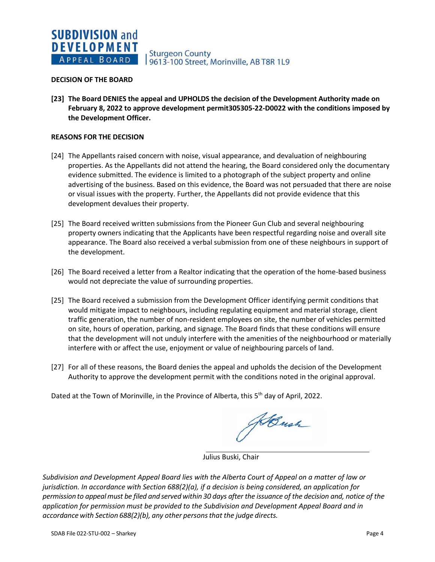#### **DECISION OF THE BOARD**

**[23] The Board DENIES the appeal and UPHOLDS the decision of the Development Authority made on February 8, 2022 to approve development permit305305-22-D0022 with the conditions imposed by the Development Officer.**

### **REASONS FOR THE DECISION**

- [24] The Appellants raised concern with noise, visual appearance, and devaluation of neighbouring properties. As the Appellants did not attend the hearing, the Board considered only the documentary evidence submitted. The evidence is limited to a photograph of the subject property and online advertising of the business. Based on this evidence, the Board was not persuaded that there are noise or visual issues with the property. Further, the Appellants did not provide evidence that this development devalues their property.
- [25] The Board received written submissions from the Pioneer Gun Club and several neighbouring property owners indicating that the Applicants have been respectful regarding noise and overall site appearance. The Board also received a verbal submission from one of these neighbours in support of the development.
- [26] The Board received a letter from a Realtor indicating that the operation of the home-based business would not depreciate the value of surrounding properties.
- [25] The Board received a submission from the Development Officer identifying permit conditions that would mitigate impact to neighbours, including regulating equipment and material storage, client traffic generation, the number of non-resident employees on site, the number of vehicles permitted on site, hours of operation, parking, and signage. The Board finds that these conditions will ensure that the development will not unduly interfere with the amenities of the neighbourhood or materially interfere with or affect the use, enjoyment or value of neighbouring parcels of land.
- [27] For all of these reasons, the Board denies the appeal and upholds the decision of the Development Authority to approve the development permit with the conditions noted in the original approval.

Dated at the Town of Morinville, in the Province of Alberta, this 5<sup>th</sup> day of April, 2022.

JeBush

Julius Buski, Chair

*Subdivision and Development Appeal Board lies with the Alberta Court of Appeal on a matter of law or jurisdiction. In accordance with Section 688(2)(a), if a decision is being considered, an application for* permission to appeal must be filed and served within 30 days after the issuance of the decision and, notice of the *application for permission must be provided to the Subdivision and Development Appeal Board and in accordance with Section 688(2)(b), any other personsthat the judge directs.*